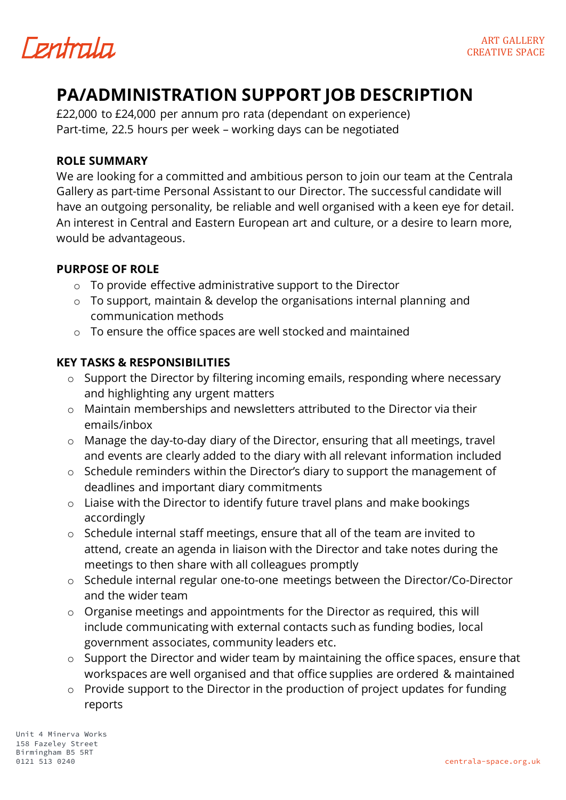

# **PA/ADMINISTRATION SUPPORT JOB DESCRIPTION**

£22,000 to £24,000 per annum pro rata (dependant on experience) Part-time, 22.5 hours per week – working days can be negotiated

#### **ROLE SUMMARY**

We are looking for a committed and ambitious person to join our team at the Centrala Gallery as part-time Personal Assistant to our Director. The successful candidate will have an outgoing personality, be reliable and well organised with a keen eye for detail. An interest in Central and Eastern European art and culture, or a desire to learn more, would be advantageous.

## **PURPOSE OF ROLE**

- o To provide effective administrative support to the Director
- o To support, maintain & develop the organisations internal planning and communication methods
- o To ensure the office spaces are well stocked and maintained

### **KEY TASKS & RESPONSIBILITIES**

- o Support the Director by filtering incoming emails, responding where necessary and highlighting any urgent matters
- o Maintain memberships and newsletters attributed to the Director via their emails/inbox
- o Manage the day-to-day diary of the Director, ensuring that all meetings, travel and events are clearly added to the diary with all relevant information included
- o Schedule reminders within the Director's diary to support the management of deadlines and important diary commitments
- o Liaise with the Director to identify future travel plans and make bookings accordingly
- o Schedule internal staff meetings, ensure that all of the team are invited to attend, create an agenda in liaison with the Director and take notes during the meetings to then share with all colleagues promptly
- o Schedule internal regular one-to-one meetings between the Director/Co-Director and the wider team
- o Organise meetings and appointments for the Director as required, this will include communicating with external contacts such as funding bodies, local government associates, community leaders etc.
- $\circ$  Support the Director and wider team by maintaining the office spaces, ensure that workspaces are well organised and that office supplies are ordered & maintained
- o Provide support to the Director in the production of project updates for funding reports

Unit 4 Minerva Works 158 Fazeley Street Birmingham B5 5RT